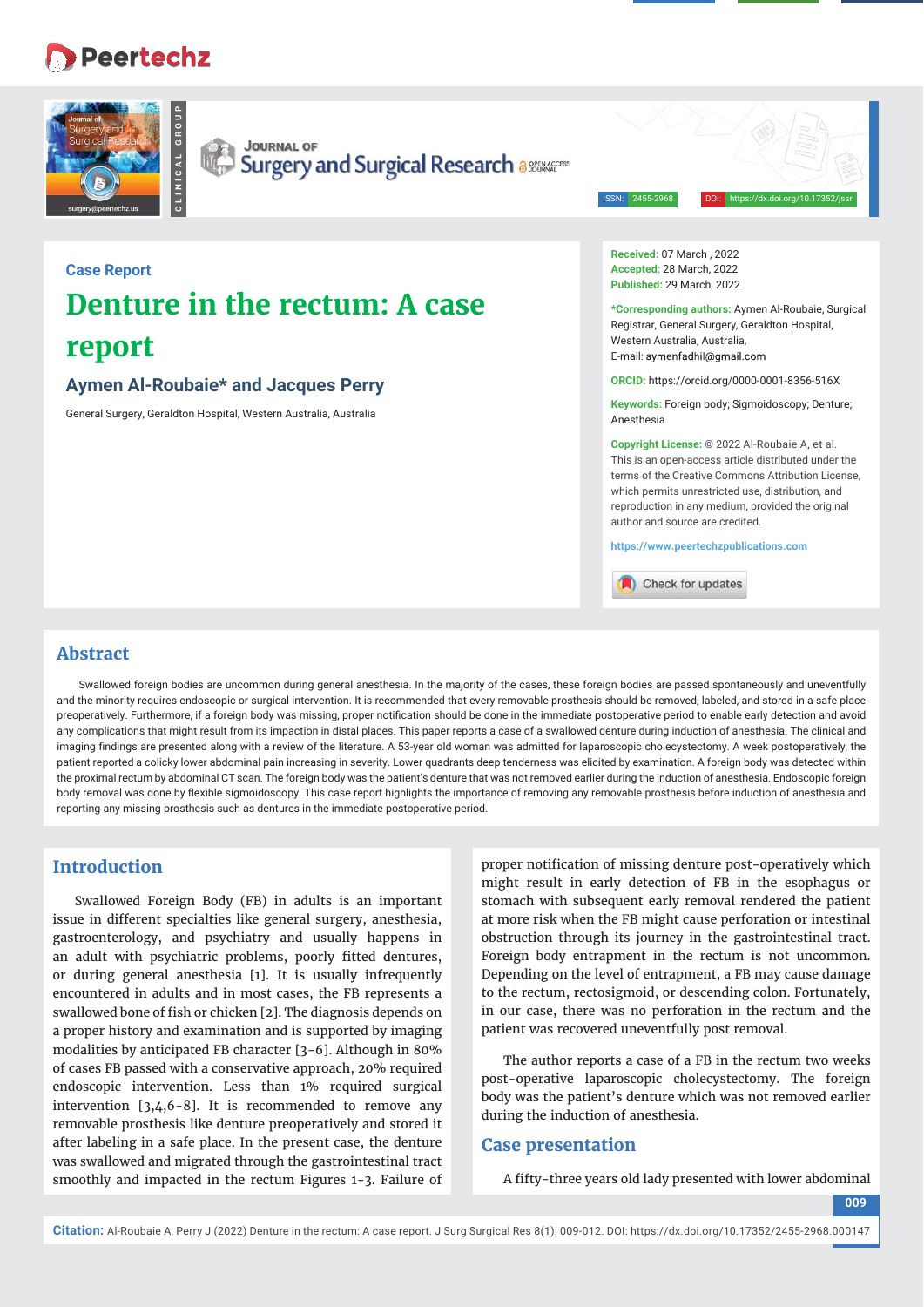# **Peertechz**



**Case Report**

**report**

**CLINICAL GROUP** CLINICAL GROU **JOURNAL OF** 

**Aymen Al-Roubaie\* and Jacques Perry**  General Surgery, Geraldton Hospital, Western Australia, Australia

**Denture in the rectum: A case** 

Surgery and Surgical Research assurates

ISSN: 2455-2968 DOI: https://dx.doi.org/10.17352/jssr

**Received:** 07 March , 2022 **Accepted:** 28 March, 2022 **Published:** 29 March, 2022

**\*Corresponding authors:** Aymen Al-Roubaie, Surgical Registrar, General Surgery, Geraldton Hospital, Western Australia, Australia, E-mail: aymenfadhil@gmail.com

**ORCID:** https://orcid.org/0000-0001-8356-516X

**Keywords:** Foreign body; Sigmoidoscopy; Denture; Anesthesia

**Copyright License:** © 2022 Al-Roubaie A, et al. This is an open-access article distributed under the terms of the Creative Commons Attribution License, which permits unrestricted use, distribution, and reproduction in any medium, provided the original author and source are credited.

**https://www.peertechzpublications.com**

Check for updates

### **Abstract**

Swallowed foreign bodies are uncommon during general anesthesia. In the majority of the cases, these foreign bodies are passed spontaneously and uneventfully and the minority requires endoscopic or surgical intervention. It is recommended that every removable prosthesis should be removed, labeled, and stored in a safe place preoperatively. Furthermore, if a foreign body was missing, proper notification should be done in the immediate postoperative period to enable early detection and avoid any complications that might result from its impaction in distal places. This paper reports a case of a swallowed denture during induction of anesthesia. The clinical and imaging findings are presented along with a review of the literature. A 53-year old woman was admitted for laparoscopic cholecystectomy. A week postoperatively, the patient reported a colicky lower abdominal pain increasing in severity. Lower quadrants deep tenderness was elicited by examination. A foreign body was detected within the proximal rectum by abdominal CT scan. The foreign body was the patient's denture that was not removed earlier during the induction of anesthesia. Endoscopic foreign body removal was done by flexible sigmoidoscopy. This case report highlights the importance of removing any removable prosthesis before induction of anesthesia and reporting any missing prosthesis such as dentures in the immediate postoperative period.

# **Introduction**

Swallowed Foreign Body (FB) in adults is an important issue in different specialties like general surgery, anesthesia, gastroenterology, and psychiatry and usually happens in an adult with psychiatric problems, poorly fitted dentures, or during general anesthesia [1]. It is usually infrequently encountered in adults and in most cases, the FB represents a swallowed bone of fish or chicken [2]. The diagnosis depends on a proper history and examination and is supported by imaging modalities by anticipated FB character [3-6]. Although in 80% of cases FB passed with a conservative approach, 20% required endoscopic intervention. Less than 1% required surgical intervention [3,4,6-8]. It is recommended to remove any removable prosthesis like denture preoperatively and stored it after labeling in a safe place. In the present case, the denture was swallowed and migrated through the gastrointestinal tract smoothly and impacted in the rectum Figures 1-3. Failure of

proper notification of missing denture post-operatively which might result in early detection of FB in the esophagus or stomach with subsequent early removal rendered the patient at more risk when the FB might cause perforation or intestinal obstruction through its journey in the gastrointestinal tract. Foreign body entrapment in the rectum is not uncommon. Depending on the level of entrapment, a FB may cause damage to the rectum, rectosigmoid, or descending colon. Fortunately, in our case, there was no perforation in the rectum and the patient was recovered uneventfully post removal.

The author reports a case of a FB in the rectum two weeks post-operative laparoscopic cholecystectomy. The foreign body was the patient's denture which was not removed earlier during the induction of anesthesia.

# **Case presentation**

A fifty-three years old lady presented with lower abdominal

**009**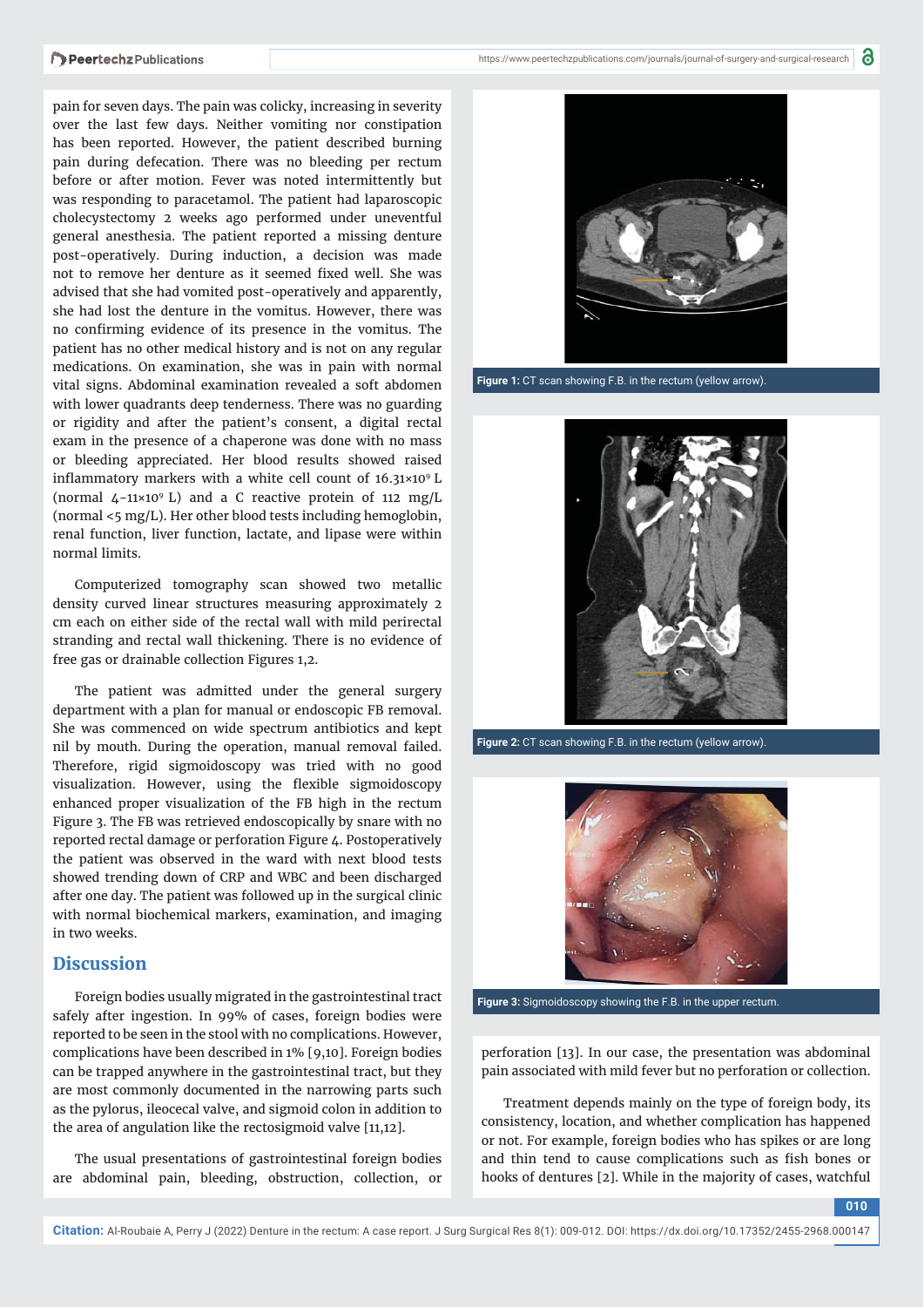pain for seven days. The pain was colicky, increasing in severity over the last few days. Neither vomiting nor constipation has been reported. However, the patient described burning pain during defecation. There was no bleeding per rectum before or after motion. Fever was noted intermittently but was responding to paracetamol. The patient had laparoscopic cholecystectomy 2 weeks ago performed under uneventful general anesthesia. The patient reported a missing denture post-operatively. During induction, a decision was made not to remove her denture as it seemed fixed well. She was advised that she had vomited post-operatively and apparently, she had lost the denture in the vomitus. However, there was no confirming evidence of its presence in the vomitus. The patient has no other medical history and is not on any regular medications. On examination, she was in pain with normal vital signs. Abdominal examination revealed a soft abdomen with lower quadrants deep tenderness. There was no guarding or rigidity and after the patient's consent, a digital rectal exam in the presence of a chaperone was done with no mass or bleeding appreciated. Her blood results showed raised inflammatory markers with a white cell count of  $16.31 \times 10^{9}$  L (normal 4−11×109 L) and a C reactive protein of 112 mg/L (normal <5 mg/L). Her other blood tests including hemoglobin, renal function, liver function, lactate, and lipase were within normal limits.

Computerized tomography scan showed two metallic density curved linear structures measuring approximately 2 cm each on either side of the rectal wall with mild perirectal stranding and rectal wall thickening. There is no evidence of free gas or drainable collection Figures 1,2.

The patient was admitted under the general surgery department with a plan for manual or endoscopic FB removal. She was commenced on wide spectrum antibiotics and kept nil by mouth. During the operation, manual removal failed. Therefore, rigid sigmoidoscopy was tried with no good visualization. However, using the flexible sigmoidoscopy enhanced proper visualization of the FB high in the rectum Figure 3. The FB was retrieved endoscopically by snare with no reported rectal damage or perforation Figure 4. Postoperatively the patient was observed in the ward with next blood tests showed trending down of CRP and WBC and been discharged after one day. The patient was followed up in the surgical clinic with normal biochemical markers, examination, and imaging in two weeks.

# **Discussion**

Foreign bodies usually migrated in the gastrointestinal tract safely after ingestion. In 99% of cases, foreign bodies were reported to be seen in the stool with no complications. However, complications have been described in 1% [9,10]. Foreign bodies can be trapped anywhere in the gastrointestinal tract, but they are most commonly documented in the narrowing parts such as the pylorus, ileocecal valve, and sigmoid colon in addition to the area of angulation like the rectosigmoid valve [11,12].

The usual presentations of gastrointestinal foreign bodies are abdominal pain, bleeding, obstruction, collection, or



**Figure 1:** CT scan showing F.B. in the rectum (yellow arrow).



**Figure 2:** CT scan showing F.B. in the rectum (yellow arrow).



**Figure 3:** Sigmoidoscopy showing the F.B. in the upper rectum.

perforation [13]. In our case, the presentation was abdominal pain associated with mild fever but no perforation or collection.

Treatment depends mainly on the type of foreign body, its consistency, location, and whether complication has happened or not. For example, foreign bodies who has spikes or are long and thin tend to cause complications such as fish bones or hooks of dentures [2]. While in the majority of cases, watchful

**010**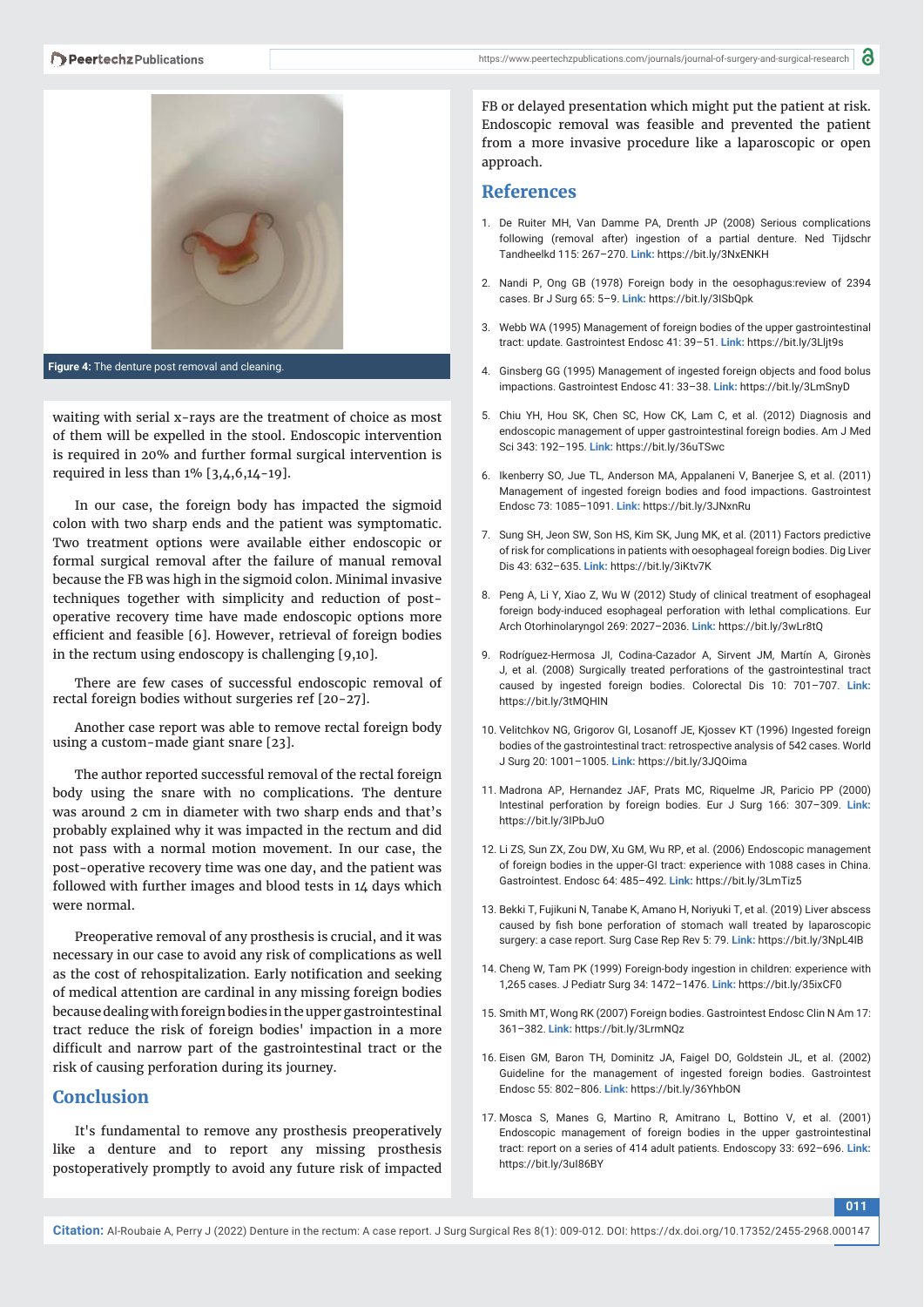



**Figure 4:** The denture post removal and cleaning.

waiting with serial x-rays are the treatment of choice as most of them will be expelled in the stool. Endoscopic intervention is required in 20% and further formal surgical intervention is required in less than 1% [3,4,6,14-19].

In our case, the foreign body has impacted the sigmoid colon with two sharp ends and the patient was symptomatic. Two treatment options were available either endoscopic or formal surgical removal after the failure of manual removal because the FB was high in the sigmoid colon. Minimal invasive techniques together with simplicity and reduction of postoperative recovery time have made endoscopic options more efficient and feasible [6]. However, retrieval of foreign bodies in the rectum using endoscopy is challenging [9,10].

There are few cases of successful endoscopic removal of rectal foreign bodies without surgeries ref [20-27].

Another case report was able to remove rectal foreign body using a custom-made giant snare [23].

The author reported successful removal of the rectal foreign body using the snare with no complications. The denture was around 2 cm in diameter with two sharp ends and that's probably explained why it was impacted in the rectum and did not pass with a normal motion movement. In our case, the post-operative recovery time was one day, and the patient was followed with further images and blood tests in 14 days which were normal.

Preoperative removal of any prosthesis is crucial, and it was necessary in our case to avoid any risk of complications as well as the cost of rehospitalization. Early notification and seeking of medical attention are cardinal in any missing foreign bodies because dealing with foreign bodies in the upper gastrointestinal tract reduce the risk of foreign bodies' impaction in a more difficult and narrow part of the gastrointestinal tract or the risk of causing perforation during its journey.

# **Conclusion**

It's fundamental to remove any prosthesis preoperatively like a denture and to report any missing prosthesis postoperatively promptly to avoid any future risk of impacted

FB or delayed presentation which might put the patient at risk. Endoscopic removal was feasible and prevented the patient from a more invasive procedure like a laparoscopic or open approach.

#### **References**

- 1. De Ruiter MH, Van Damme PA, Drenth JP (2008) Serious complications following (removal after) ingestion of a partial denture. Ned Tijdschr Tandheelkd 115: 267–270. **Link:** https://bit.ly/3NxENKH
- 2. Nandi P, Ong GB (1978) Foreign body in the oesophagus:review of 2394 cases. Br J Surg 65: 5–9. **Link:** https://bit.ly/3ISbQpk
- 3. Webb WA (1995) Management of foreign bodies of the upper gastrointestinal tract: update. Gastrointest Endosc 41: 39–51. **Link:** https://bit.ly/3Lljt9s
- 4. Ginsberg GG (1995) Management of ingested foreign objects and food bolus impactions. Gastrointest Endosc 41: 33–38. **Link:** https://bit.ly/3LmSnyD
- 5. Chiu YH, Hou SK, Chen SC, How CK, Lam C, et al. (2012) Diagnosis and endoscopic management of upper gastrointestinal foreign bodies. Am J Med Sci 343: 192–195. **Link:** https://bit.ly/36uTSwc
- 6. Ikenberry SO, Jue TL, Anderson MA, Appalaneni V, Banerjee S, et al. (2011) Management of ingested foreign bodies and food impactions. Gastrointest Endosc 73: 1085–1091. **Link:** https://bit.ly/3JNxnRu
- 7. Sung SH, Jeon SW, Son HS, Kim SK, Jung MK, et al. (2011) Factors predictive of risk for complications in patients with oesophageal foreign bodies. Dig Liver Dis 43: 632–635. **Link:** https://bit.ly/3iKtv7K
- 8. Peng A, Li Y, Xiao Z, Wu W (2012) Study of clinical treatment of esophageal foreign body-induced esophageal perforation with lethal complications. Eur Arch Otorhinolaryngol 269: 2027–2036. **Link:** https://bit.ly/3wLr8tQ
- 9. Rodríguez-Hermosa JI, Codina-Cazador A, Sirvent JM, Martín A, Gironès J, et al. (2008) Surgically treated perforations of the gastrointestinal tract caused by ingested foreign bodies. Colorectal Dis 10: 701–707. **Link:** https://bit.ly/3tMQHIN
- 10. Velitchkov NG, Grigorov GI, Losanoff JE, Kjossev KT (1996) Ingested foreign bodies of the gastrointestinal tract: retrospective analysis of 542 cases. World J Surg 20: 1001–1005. **Link:** https://bit.ly/3JQOima
- 11. Madrona AP, Hernandez JAF, Prats MC, Riquelme JR, Paricio PP (2000) Intestinal perforation by foreign bodies. Eur J Surg 166: 307–309. **Link:** https://bit.ly/3IPbJuO
- 12. Li ZS, Sun ZX, Zou DW, Xu GM, Wu RP, et al. (2006) Endoscopic management of foreign bodies in the upper-GI tract: experience with 1088 cases in China. Gastrointest. Endosc 64: 485–492. **Link:** https://bit.ly/3LmTiz5
- 13. Bekki T, Fujikuni N, Tanabe K, Amano H, Noriyuki T, et al. (2019) Liver abscess caused by fish bone perforation of stomach wall treated by laparoscopic surgery: a case report. Surg Case Rep Rev 5: 79. **Link:** https://bit.ly/3NpL4IB
- 14. Cheng W, Tam PK (1999) Foreign-body ingestion in children: experience with 1,265 cases. J Pediatr Surg 34: 1472–1476. **Link:** https://bit.ly/35ixCF0
- 15. Smith MT, Wong RK (2007) Foreign bodies. Gastrointest Endosc Clin N Am 17: 361–382. **Link:** https://bit.ly/3LrmNQz
- 16. Eisen GM, Baron TH, Dominitz JA, Faigel DO, Goldstein JL, et al. (2002) Guideline for the management of ingested foreign bodies. Gastrointest Endosc 55: 802–806. **Link:** https://bit.ly/36YhbON
- 17. Mosca S, Manes G, Martino R, Amitrano L, Bottino V, et al. (2001) Endoscopic management of foreign bodies in the upper gastrointestinal tract: report on a series of 414 adult patients. Endoscopy 33: 692–696. **Link:** https://bit.ly/3uI86BY

**011**